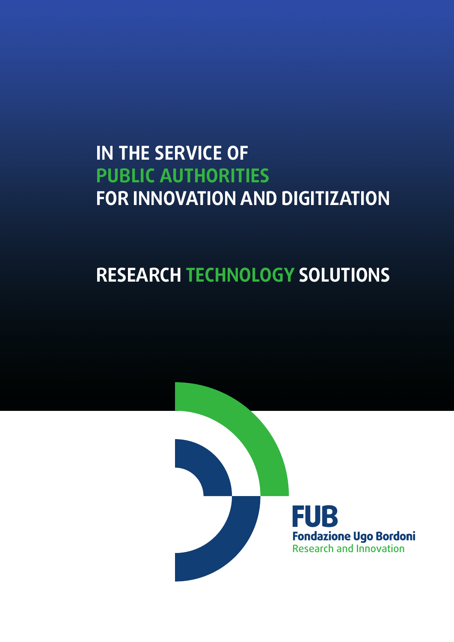## **IN THE SERVICE OF PUBLIC AUTHORITIES FOR INNOVATION AND DIGITIZATION**

# **RESEARCH TECHNOLOGY SOLUTIONS**

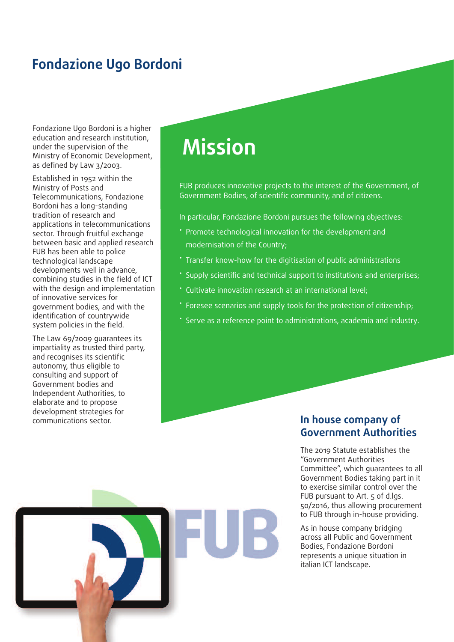## **Fondazione Ugo Bordoni**

Fondazione Ugo Bordoni is a higher education and research institution, under the supervision of the Ministry of Economic Development, as defined by Law 3/2003.

Established in 1952 within the Ministry of Posts and Telecommunications, Fondazione Bordoni has a long-standing tradition of research and applications in telecommunications sector. Through fruitful exchange between basic and applied research FUB has been able to police technological landscape developments well in advance, combining studies in the field of ICT with the design and implementation of innovative services for government bodies, and with the identification of countrywide system policies in the field.

The Law 69/2009 guarantees its impartiality as trusted third party, and recognises its scientific autonomy, thus eligible to consulting and support of Government bodies and Independent Authorities, to elaborate and to propose development strategies for communications sector. **In house company of**

# **Mission**

FUB produces innovative projects to the interest of the Government, of Government Bodies, of scientific community, and of citizens.

In particular, Fondazione Bordoni pursues the following objectives:

- Promote technological innovation for the development and modernisation of the Country;
- Transfer know-how for the digitisation of public administrations
- Supply scientific and technical support to institutions and enterprises;
- Cultivate innovation research at an international level;
- Foresee scenarios and supply tools for the protection of citizenship;
- Serve as a reference point to administrations, academia and industry.

# **Government Authorities**

The 2019 Statute establishes the "Government Authorities Committee", which guarantees to all Government Bodies taking part in it to exercise similar control over the FUB pursuant to Art. 5 of d.lgs. 50/2016, thus allowing procurement to FUB through in-house providing.

As in house company bridging across all Public and Government Bodies, Fondazione Bordoni represents a unique situation in italian ICT landscape.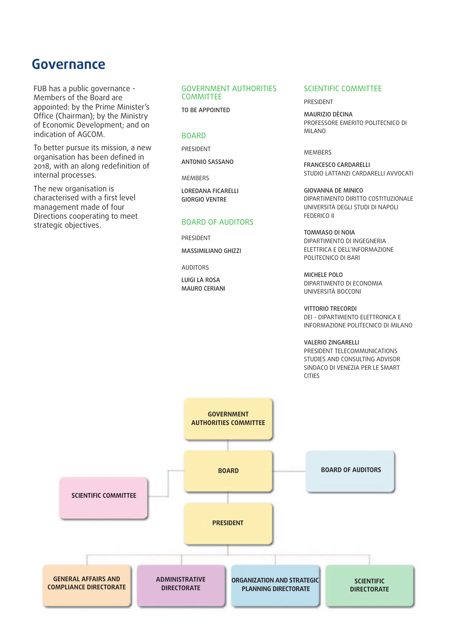## **Governance**

FUB has a public governance - Members of the Board are appointed: by the Prime Minister's Office (Chairman); by the Ministry of Economic Development; and on indication of AGCOM.

To better pursue its mission, a new organisation has been defined in 2018, with an along redefinition of internal processes.

The new organisation is characterised with a first level management made of four Directions cooperating to meet strategic objectives.

#### GOVERNMENT AUTHORITIES COMMITTEE

TO BE APPOINTED

#### **BOARD**

PRESIDENT

ANTONIO SASSANO

MEMBERS

LOREDANA FICARELLI GIORGIO VENTRE

#### BOARD OF AUDITORS

PRESIDENT MASSIMILIANO GHIZZI

AUDITORS

LUIGI LA ROSA MAURO CERIANI

#### SCIENTIFIC COMMITTEE

PRESIDENT

MAURIZIO DÈCINA PROFESSORE EMERITO POLITECNICO DI MILANO

#### MEMBERS

FRANCESCO CARDARELLI STUDIO LATTANZI CARDARELLI AVVOCATI

GIOVANNA DE MINICO DIPARTIMENTO DIRITTO COSTITUZIONALE UNIVERSITÀ DEGLI STUDI DI NAPOLI FEDERICO II

TOMMASO DI NOIA DIPARTIMENTO DI INGEGNERIA ELETTRICA E DELL'INFORMAZIONE POLITECNICO DI BARI

MICHELE POLO DIPARTIMENTO DI ECONOMIA UNIVERSITÀ BOCCONI

VITTORIO TRECORDI DEI - DIPARTIMENTO ELETTRONICA E INFORMAZIONE POLITECNICO DI MILANO

VALERIO ZINGARELLI PRESIDENT TELECOMMUNICATIONS STUDIES AND CONSULTING ADVISOR SINDACO DI VENEZIA PER LE SMART CITIES

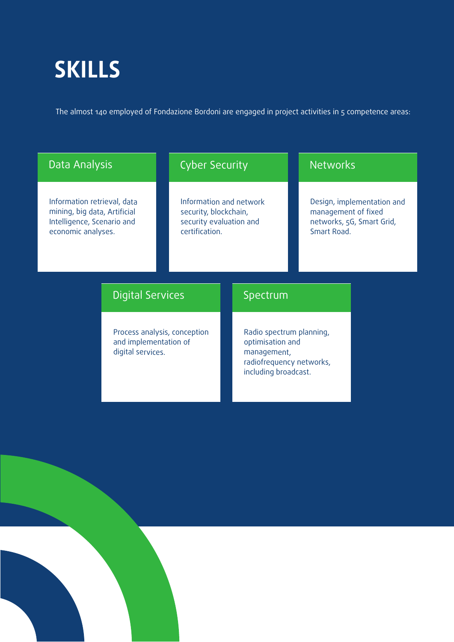# **SKILLS**

The almost 140 employed of Fondazione Bordoni are engaged in project activities in 5 competence areas:

### Data Analysis

Information retrieval, data mining, big data, Artificial Intelligence, Scenario and economic analyses.

## Cyber Security

Information and network security, blockchain, security evaluation and certification.

## **Networks**

Design, implementation and management of fixed networks, 5G, Smart Grid, Smart Road.

### Digital Services

Process analysis, conception and implementation of digital services.

## Spectrum

Radio spectrum planning, optimisation and management, radiofrequency networks, including broadcast.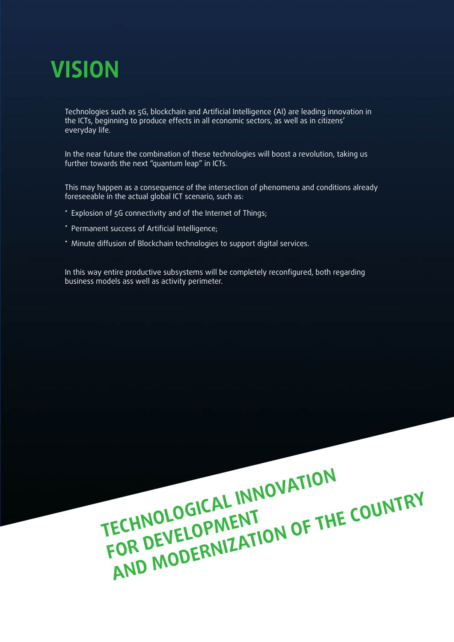

Technologies such as 5G, blockchain and Artificial Intelligence (AI) are leading innovation in the ICTs, beginning to produce effects in all economic sectors, as well as in citizens' everyday life.

In the near future the combination of these technologies will boost a revolution, taking us further towards the next "quantum leap" in ICTs.

This may happen as a consequence of the intersection of phenomena and conditions already foreseeable in the actual global ICT scenario, such as:

- Explosion of 5G connectivity and of the Internet of Things;
- Permanent success of Artificial Intelligence;
- Minute diffusion of Blockchain technologies to support digital services.

In this way entire productive subsystems will be completely reconfigured, both regarding business models ass well as activity perimeter.

> **TECHNOLOGICAL INNOVATION FOR DEVELOPMENT AND MODERNIZATION OF THE COUNTRY**